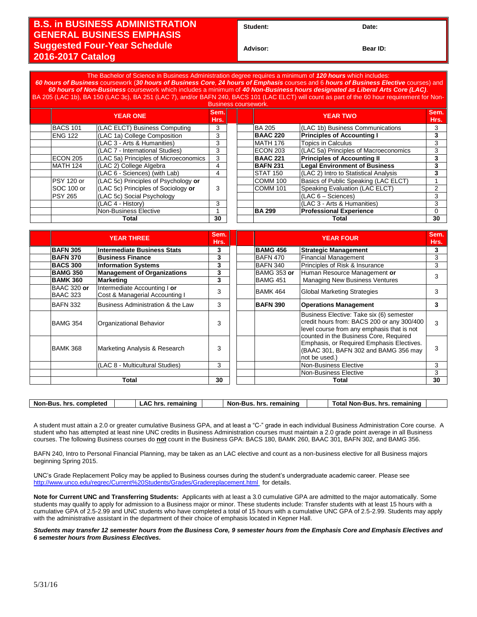## **B.S. in BUSINESS ADMINISTRATION GENERAL BUSINESS EMPHASIS Suggested Four-Year Schedule 2016-2017 Catalog**

Student: Date:

**Advisor: Bear ID:** 

The Bachelor of Science in Business Administration degree requires a minimum of *120 hours* which includes: *60 hours of Business* coursework (*30 hours of Business Core*, *24 hours of Emphasis* courses and 6 *hours of Business Elective* courses) and *60 hours of Non-Business* coursework which includes a minimum of *40 Non-Business hours designated as Liberal Arts Core (LAC)*. 05 (LAC 1b), BA 150 (LAC 3c), BA 251 (LAC 7), and/or BAFN 240, BACS 101 (LAC ELCT) will count as part of the 60 hour requ

| <b>Business coursework.</b> |                 |                                       |    |  |                 |                                       |              |
|-----------------------------|-----------------|---------------------------------------|----|--|-----------------|---------------------------------------|--------------|
|                             | <b>YEAR ONE</b> |                                       |    |  | <b>YEAR TWO</b> |                                       | Sem.<br>Hrs. |
|                             | <b>BACS 101</b> | (LAC ELCT) Business Computing         | 3  |  | <b>BA 205</b>   | (LAC 1b) Business Communications      | 3            |
|                             | ENG 122         | (LAC 1a) College Composition          | 3  |  | <b>BAAC 220</b> | <b>Principles of Accounting I</b>     | 3            |
|                             |                 | (LAC 3 - Arts & Humanities)           | 3  |  | MATH 176        | <b>Topics in Calculus</b>             | 3            |
|                             |                 | (LAC 7 - International Studies)       | 3  |  | ECON 203        | (LAC 5a) Principles of Macroeconomics | 3            |
|                             | ECON 205        | (LAC 5a) Principles of Microeconomics | 3  |  | <b>BAAC 221</b> | <b>Principles of Accounting II</b>    | 3            |
|                             | MATH 124        | (LAC 2) College Algebra               | 4  |  | <b>BAFN 231</b> | <b>Legal Environment of Business</b>  |              |
|                             |                 | (LAC 6 - Sciences) (with Lab)         | 4  |  | <b>STAT 150</b> | (LAC 2) Intro to Statistical Analysis | 3            |
|                             | PSY 120 or      | (LAC 5c) Principles of Psychology or  |    |  | <b>COMM 100</b> | Basics of Public Speaking (LAC ELCT)  |              |
|                             | SOC 100 or      | (LAC 5c) Principles of Sociology or   |    |  | <b>COMM 101</b> | Speaking Evaluation (LAC ELCT)        | 2            |
|                             | <b>PSY 265</b>  | (LAC 5c) Social Psychology            |    |  |                 | $(LAC 6 - Sciences)$                  | 3            |
|                             |                 | (LAC 4 - History)                     | 3  |  |                 | (LAC 3 - Arts & Humanities)           | 3            |
|                             |                 | Non-Business Elective                 |    |  | <b>BA 299</b>   | <b>Professional Experience</b>        | $\Omega$     |
|                             | Total           |                                       | 30 |  |                 | Total                                 | 30           |

| <b>YEAR THREE</b>              |                                                                | Sem.<br>Hrs. | <b>YEAR FOUR</b>   |                                                                                                                                              | Sem.<br>Hrs. |
|--------------------------------|----------------------------------------------------------------|--------------|--------------------|----------------------------------------------------------------------------------------------------------------------------------------------|--------------|
| <b>BAFN 305</b>                | Intermediate Business Stats                                    | 3            | <b>BAMG 456</b>    | <b>Strategic Management</b>                                                                                                                  | 3            |
| <b>BAFN 370</b>                | <b>Business Finance</b>                                        | 3            | <b>BAFN 470</b>    | <b>Financial Management</b>                                                                                                                  | 3            |
| <b>BACS 300</b>                | <b>Information Systems</b>                                     | 3            | <b>BAFN 340</b>    | Principles of Risk & Insurance                                                                                                               | 3            |
| <b>BAMG 350</b>                | <b>Management of Organizations</b>                             | 3            | <b>BAMG 353 or</b> | Human Resource Management or                                                                                                                 | 3            |
| <b>BAMK 360</b>                | <b>Marketing</b>                                               | 3            | BAMG 451           | Managing New Business Ventures                                                                                                               |              |
| BAAC 320 or<br><b>BAAC 323</b> | Intermediate Accounting I or<br>Cost & Managerial Accounting I | 3            | BAMK 464           | Global Marketing Strategies                                                                                                                  | 3            |
| <b>BAFN 332</b>                | Business Administration & the Law                              | 3            | <b>BAFN 390</b>    | <b>Operations Management</b>                                                                                                                 | 3            |
| <b>BAMG 354</b>                | Organizational Behavior                                        | 3            |                    | Business Elective: Take six (6) semester<br>credit hours from: BACS 200 or any 300/400<br>level course from any emphasis that is not         | 3            |
| BAMK 368                       | Marketing Analysis & Research                                  | 3            |                    | counted in the Business Core, Required<br>Emphasis, or Required Emphasis Electives.<br>(BAAC 301, BAFN 302 and BAMG 356 may<br>not be used.) | 3            |
|                                | (LAC 8 - Multicultural Studies)                                | 3            |                    | Non-Business Elective                                                                                                                        | 3            |
|                                |                                                                |              |                    | Non-Business Elective                                                                                                                        | 3            |
| Total                          |                                                                | 30           |                    | Total                                                                                                                                        | 30           |

| completed | $\ldots$ remaining | remainin $\sim$ | remaining |
|-----------|--------------------|-----------------|-----------|
| Non-      | hr                 | Non-            | ™ota⊫     |
| hrs       | Δı                 | hrs.            | Non-Bus   |
| -Bus      | ~~                 | -Bus.           | hrs.      |

A student must attain a 2.0 or greater cumulative Business GPA, and at least a "C-" grade in each individual Business Administration Core course. A student who has attempted at least nine UNC credits in Business Administration courses must maintain a 2.0 grade point average in all Business courses. The following Business courses do **not** count in the Business GPA: BACS 180, BAMK 260, BAAC 301, BAFN 302, and BAMG 356.

BAFN 240, Intro to Personal Financial Planning, may be taken as an LAC elective and count as a non-business elective for all Business majors beginning Spring 2015.

UNC's Grade Replacement Policy may be applied to Business courses during the student's undergraduate academic career. Please see <http://www.unco.edu/regrec/Current%20Students/Grades/Gradereplacement.html> for details.

**Note for Current UNC and Transferring Students:** Applicants with at least a 3.0 cumulative GPA are admitted to the major automatically. Some students may qualify to apply for admission to a Business major or minor. These students include: Transfer students with at least 15 hours with a cumulative GPA of 2.5-2.99 and UNC students who have completed a total of 15 hours with a cumulative UNC GPA of 2.5-2.99. Students may apply with the administrative assistant in the department of their choice of emphasis located in Kepner Hall.

*Students may transfer 12 semester hours from the Business Core, 9 semester hours from the Emphasis Core and Emphasis Electives and 6 semester hours from Business Electives.*